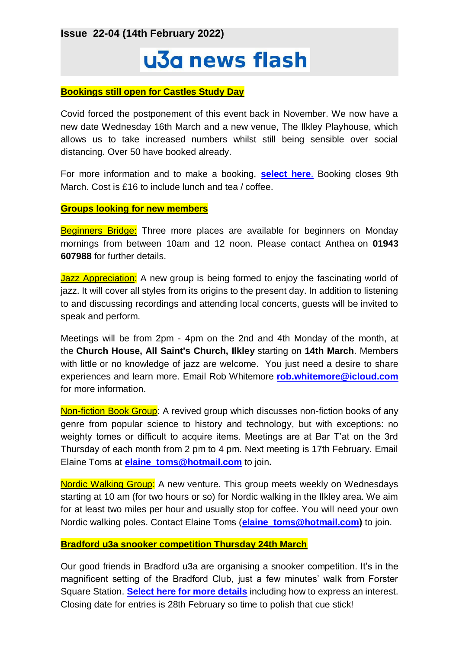**Issue 22-04 (14th February 2022)**

# u3a news flash

#### **Bookings still open for Castles Study Day**

Covid forced the postponement of this event back in November. We now have a new date Wednesday 16th March and a new venue, The Ilkley Playhouse, which allows us to take increased numbers whilst still being sensible over social distancing. Over 50 have booked already.

For more information and to make a booking, **[select here](https://ilkleyu3a.org/event-4575048)**. Booking closes 9th March. Cost is £16 to include lunch and tea / coffee.

#### **Groups looking for new members**

**Beginners Bridge:** Three more places are available for beginners on Monday mornings from between 10am and 12 noon. Please contact Anthea on **01943 607988** for further details.

Jazz Appreciation: A new group is being formed to enjoy the fascinating world of jazz. It will cover all styles from its origins to the present day. In addition to listening to and discussing recordings and attending local concerts, guests will be invited to speak and perform.

Meetings will be from 2pm - 4pm on the 2nd and 4th Monday of the month, at the **Church House, All Saint's Church, Ilkley** starting on **14th March**. Members with little or no knowledge of jazz are welcome. You just need a desire to share experiences and learn more. Email Rob Whitemore **[rob.whitemore@icloud.com](mailto:rob.whitemore@icloud.com)** for more information.

Non-fiction Book Group: A revived group which discusses non-fiction books of any genre from popular science to history and technology, but with exceptions: no weighty tomes or difficult to acquire items. Meetings are at Bar T'at on the 3rd Thursday of each month from 2 pm to 4 pm. Next meeting is 17th February. Email Elaine Toms at **[elaine\\_toms@hotmail.com](mailto:elaine_toms@hotmail.com)** to join**.**

Nordic Walking Group: A new venture. This group meets weekly on Wednesdays starting at 10 am (for two hours or so) for Nordic walking in the Ilkley area. We aim for at least two miles per hour and usually stop for coffee. You will need your own Nordic walking poles. Contact Elaine Toms (**[elaine\\_toms@hotmail.com\)](mailto:elaine_toms@hotmail.com)** to join.

## **Bradford u3a snooker competition Thursday 24th March**

Our good friends in Bradford u3a are organising a snooker competition. It's in the magnificent setting of the Bradford Club, just a few minutes' walk from Forster Square Station. **[Select here for more details](https://ilkleyu3a.org/event-4604246)** including how to express an interest. Closing date for entries is 28th February so time to polish that cue stick!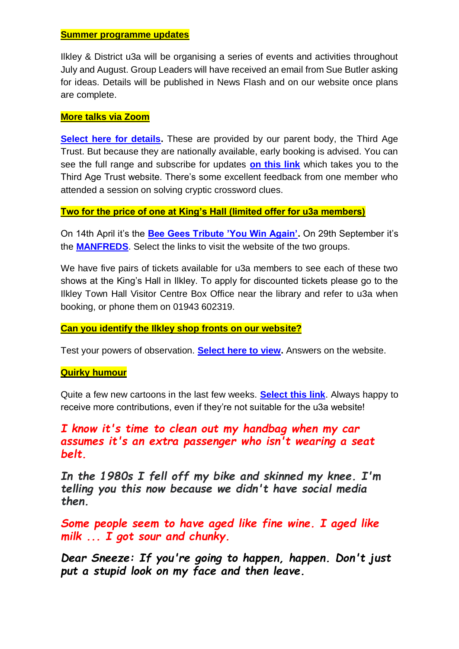#### **Summer programme updates**

Ilkley & District u3a will be organising a series of events and activities throughout July and August. Group Leaders will have received an email from Sue Butler asking for ideas. Details will be published in News Flash and on our website once plans are complete.

## **More talks via Zoom**

**[Select here for details.](https://ilkleyu3a.org/External-Events)** These are provided by our parent body, the Third Age Trust. But because they are nationally available, early booking is advised. You can see the full range and subscribe for updates **[on this link](https://www.u3a.org.uk/events/educational-events)** which takes you to the Third Age Trust website. There's some excellent feedback from one member who attended a session on solving cryptic crossword clues.

## **Two for the price of one at King's Hall (limited offer for u3a members)**

On 14th April it's the **[Bee Gees Tribute 'You Win Again'.](https://www.entertainers.co.uk/show/you-win-again)** On 29th September it's the **[MANFREDS](https://www.themanfreds.com/)**. Select the links to visit the website of the two groups.

We have five pairs of tickets available for u3a members to see each of these two shows at the King's Hall in Ilkley. To apply for discounted tickets please go to the Ilkley Town Hall Visitor Centre Box Office near the library and refer to u3a when booking, or phone them on 01943 602319.

## **Can you identify the Ilkley shop fronts on our website?**

Test your powers of observation. **[Select here to view.](http://ilkleyu3a.org/#HQUIZ)** Answers on the website.

#### **Quirky humour**

Quite a few new cartoons in the last few weeks. **[Select this link](https://ilkleyu3a.org/Lockdown-Support-Quirky-Humour)**. Always happy to receive more contributions, even if they're not suitable for the u3a website!

# *I know it's time to clean out my handbag when my car assumes it's an extra passenger who isn't wearing a seat belt.*

*In the 1980s I fell off my bike and skinned my knee. I'm telling you this now because we didn't have social media then.*

*Some people seem to have aged like fine wine. I aged like milk ... I got sour and chunky.*

*Dear Sneeze: If you're going to happen, happen. Don't just put a stupid look on my face and then leave.*